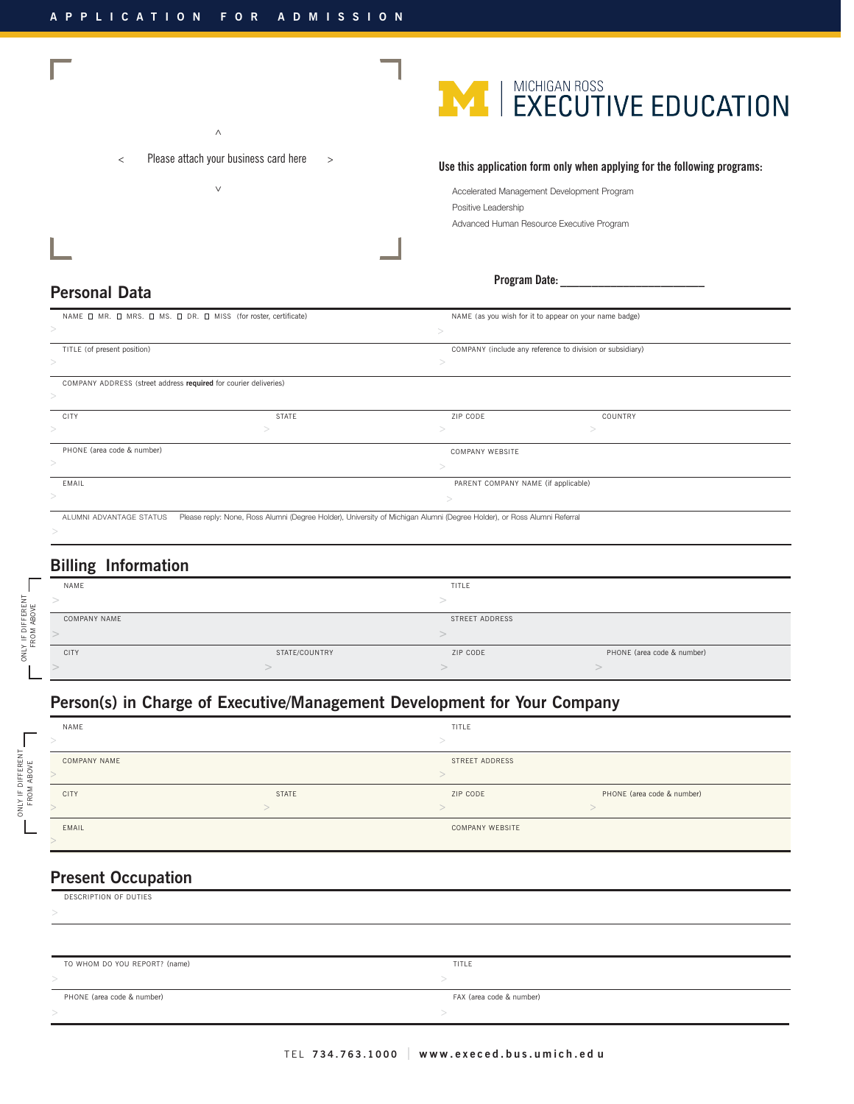



#### Accelerated Management Development Program Positive Leadership

Advanced Human Resource Executive Program

# **Program Date: \_\_\_\_\_\_\_\_\_\_\_\_\_\_\_\_\_\_\_\_\_\_\_**

#### **Personal Data**

| NAME I MR. I MRS. I MS. I DR. I MISS (for roster, certificate)   |              |                                                                                                                         | NAME (as you wish for it to appear on your name badge)    |  |
|------------------------------------------------------------------|--------------|-------------------------------------------------------------------------------------------------------------------------|-----------------------------------------------------------|--|
|                                                                  |              |                                                                                                                         |                                                           |  |
| TITLE (of present position)                                      |              |                                                                                                                         | COMPANY (include any reference to division or subsidiary) |  |
|                                                                  |              |                                                                                                                         |                                                           |  |
| COMPANY ADDRESS (street address required for courier deliveries) |              |                                                                                                                         |                                                           |  |
|                                                                  |              |                                                                                                                         |                                                           |  |
| CITY                                                             | <b>STATE</b> | ZIP CODE                                                                                                                | COUNTRY                                                   |  |
|                                                                  |              |                                                                                                                         |                                                           |  |
| PHONE (area code & number)                                       |              | COMPANY WEBSITE                                                                                                         |                                                           |  |
|                                                                  |              |                                                                                                                         |                                                           |  |
| EMAIL                                                            |              |                                                                                                                         | PARENT COMPANY NAME (if applicable)                       |  |
|                                                                  |              |                                                                                                                         |                                                           |  |
| ALUMNI ADVANTAGE STATUS                                          |              | Please reply: None, Ross Alumni (Degree Holder), University of Michigan Alumni (Degree Holder), or Ross Alumni Referral |                                                           |  |
|                                                                  |              |                                                                                                                         |                                                           |  |

## **Billing Information**

| ຼ            |               |                |                            |
|--------------|---------------|----------------|----------------------------|
| NAME         |               | TITLE          |                            |
|              |               |                |                            |
| COMPANY NAME |               | STREET ADDRESS |                            |
|              |               |                |                            |
| CITY         | STATE/COUNTRY | ZIP CODE       | PHONE (area code & number) |
|              |               |                |                            |
|              |               |                |                            |

# **Person(s) in Charge of Executive/Management Development for Your Company**

| NAME         |              | TITLE           |                            |
|--------------|--------------|-----------------|----------------------------|
|              |              |                 |                            |
| COMPANY NAME |              | STREET ADDRESS  |                            |
|              |              |                 |                            |
| <b>CITY</b>  | <b>STATE</b> | ZIP CODE        | PHONE (area code & number) |
|              |              |                 |                            |
| EMAIL        |              | COMPANY WEBSITE |                            |
|              |              |                 |                            |

# **Present Occupation**

ONLY IF DIFFERENT FROM ABOVE

ONLY IF DIFFERENT

L

ONLY IF DIFFERENT FROM ABOVE

ONLY IF DIFFERENT

L

| DESCRIPTION OF DUTIES         |                          |
|-------------------------------|--------------------------|
|                               |                          |
|                               |                          |
|                               |                          |
| TO WHOM DO YOU REPORT? (name) | TITLE                    |
|                               |                          |
| PHONE (area code & number)    | FAX (area code & number) |
|                               |                          |
|                               |                          |